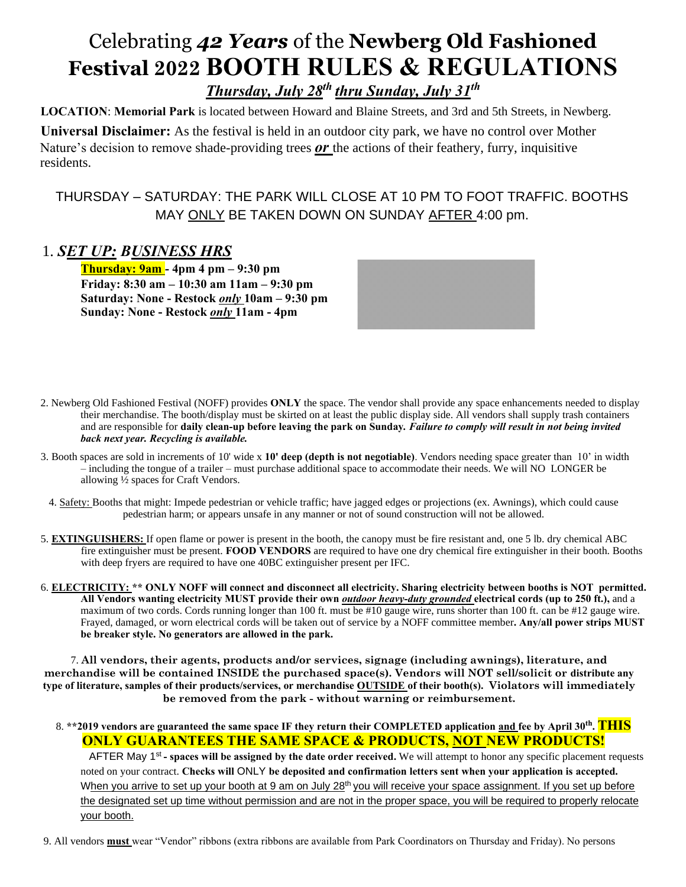## Celebrating *42 Years* of the **Newberg Old Fashioned Festival 2022 BOOTH RULES & REGULATIONS**  *Thursday, July 28th thru Sunday, July 31th*

**LOCATION**: **Memorial Park** is located between Howard and Blaine Streets, and 3rd and 5th Streets, in Newberg.

**Universal Disclaimer:** As the festival is held in an outdoor city park, we have no control over Mother Nature's decision to remove shade-providing trees *or* the actions of their feathery, furry, inquisitive residents.

THURSDAY – SATURDAY: THE PARK WILL CLOSE AT 10 PM TO FOOT TRAFFIC. BOOTHS MAY ONLY BE TAKEN DOWN ON SUNDAY AFTER 4:00 pm.

### 1. *SET UP: BUSINESS HRS*

**Thursday: 9am - 4pm 4 pm – 9:30 pm Friday: 8:30 am – 10:30 am 11am – 9:30 pm Saturday: None - Restock** *only* **10am – 9:30 pm Sunday: None - Restock** *only* **11am - 4pm** 

- 2. Newberg Old Fashioned Festival (NOFF) provides **ONLY** the space. The vendor shall provide any space enhancements needed to display their merchandise. The booth/display must be skirted on at least the public display side. All vendors shall supply trash containers and are responsible for **daily clean-up before leaving the park on Sunday***. Failure to comply will result in not being invited back next year. Recycling is available.*
- 3. Booth spaces are sold in increments of 10' wide x **10' deep (depth is not negotiable)**. Vendors needing space greater than 10' in width – including the tongue of a trailer – must purchase additional space to accommodate their needs. We will NO LONGER be allowing ½ spaces for Craft Vendors.
- 4. Safety: Booths that might: Impede pedestrian or vehicle traffic; have jagged edges or projections (ex. Awnings), which could cause pedestrian harm; or appears unsafe in any manner or not of sound construction will not be allowed.
- 5. **EXTINGUISHERS:** If open flame or power is present in the booth, the canopy must be fire resistant and, one 5 lb. dry chemical ABC fire extinguisher must be present. **FOOD VENDORS** are required to have one dry chemical fire extinguisher in their booth. Booths with deep fryers are required to have one 40BC extinguisher present per IFC.
- 6. **ELECTRICITY: \*\* ONLY NOFF will connect and disconnect all electricity. Sharing electricity between booths is NOT permitted. All Vendors wanting electricity MUST provide their own** *outdoor heavy-duty grounded* **electrical cords (up to 250 ft.),** and a maximum of two cords. Cords running longer than 100 ft. must be #10 gauge wire, runs shorter than 100 ft. can be #12 gauge wire. Frayed, damaged, or worn electrical cords will be taken out of service by a NOFF committee member**. Any/all power strips MUST be breaker style. No generators are allowed in the park.**

7. **All vendors, their agents, products and/or services, signage (including awnings), literature, and merchandise will be contained INSIDE the purchased space(s). Vendors will NOT sell/solicit or distribute any type of literature, samples of their products/services, or merchandise OUTSIDE of their booth(s). Violators will immediately be removed from the park - without warning or reimbursement.** 

#### 8. **\*\*2019 vendors are guaranteed the same space IF they return their COMPLETED application and fee by April 30th . THIS ONLY GUARANTEES THE SAME SPACE & PRODUCTS, NOT NEW PRODUCTS!**

AFTER May 1<sup>st</sup> - spaces will be assigned by the date order received. We will attempt to honor any specific placement requests noted on your contract. **Checks will** ONLY **be deposited and confirmation letters sent when your application is accepted.**  When you arrive to set up your booth at 9 am on July 28<sup>th</sup> you will receive your space assignment. If you set up before the designated set up time without permission and are not in the proper space, you will be required to properly relocate your booth.

9. All vendors **must** wear "Vendor" ribbons (extra ribbons are available from Park Coordinators on Thursday and Friday). No persons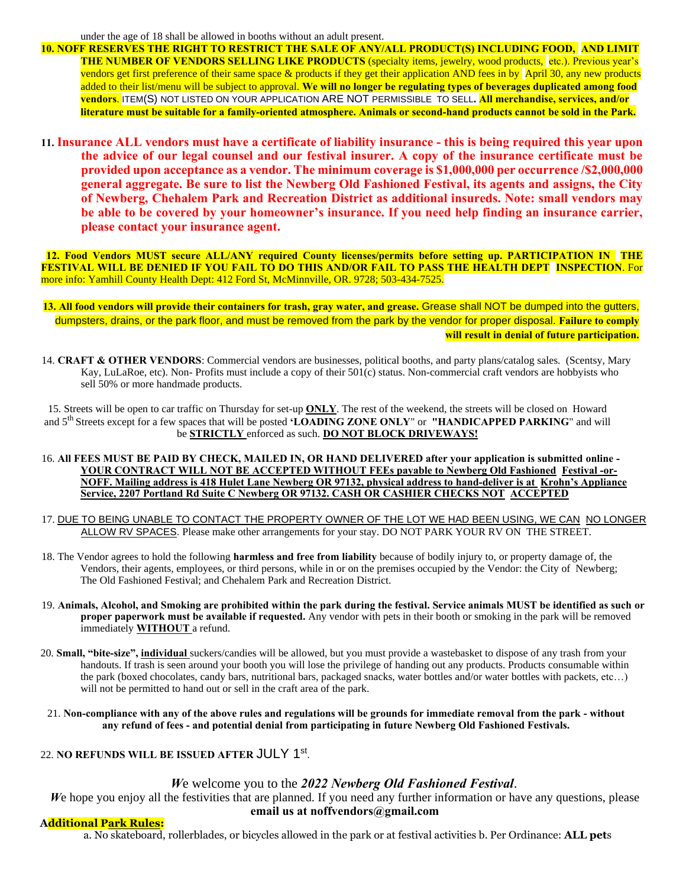under the age of 18 shall be allowed in booths without an adult present.

- **10. NOFF RESERVES THE RIGHT TO RESTRICT THE SALE OF ANY/ALL PRODUCT(S) INCLUDING FOOD, AND LIMIT THE NUMBER OF VENDORS SELLING LIKE PRODUCTS** (specialty items, jewelry, wood products, etc.). Previous year's vendors get first preference of their same space & products if they get their application AND fees in by April 30, any new products added to their list/menu will be subject to approval. **We will no longer be regulating types of beverages duplicated among food vendors**. ITEM(S) NOT LISTED ON YOUR APPLICATION ARE NOT PERMISSIBLE TO SELL**. All merchandise, services, and/or literature must be suitable for a family-oriented atmosphere. Animals or second-hand products cannot be sold in the Park.**
- **11. Insurance ALL vendors must have a certificate of liability insurance - this is being required this year upon the advice of our legal counsel and our festival insurer. A copy of the insurance certificate must be provided upon acceptance as a vendor. The minimum coverage is \$1,000,000 per occurrence /\$2,000,000 general aggregate. Be sure to list the Newberg Old Fashioned Festival, its agents and assigns, the City of Newberg, Chehalem Park and Recreation District as additional insureds. Note: small vendors may be able to be covered by your homeowner's insurance. If you need help finding an insurance carrier, please contact your insurance agent.**

 **12. Food Vendors MUST secure ALL/ANY required County licenses/permits before setting up. PARTICIPATION IN THE FESTIVAL WILL BE DENIED IF YOU FAIL TO DO THIS AND/OR FAIL TO PASS THE HEALTH DEPT INSPECTION**. For more info: Yamhill County Health Dept: 412 Ford St, McMinnville, OR. 9728; 503-434-7525.

- **13. All food vendors will provide their containers for trash, gray water, and grease.** Grease shall NOT be dumped into the gutters, dumpsters, drains, or the park floor, and must be removed from the park by the vendor for proper disposal. **Failure to comply will result in denial of future participation.**
- 14. **CRAFT & OTHER VENDORS**: Commercial vendors are businesses, political booths, and party plans/catalog sales. (Scentsy, Mary Kay, LuLaRoe, etc). Non- Profits must include a copy of their 501(c) status. Non-commercial craft vendors are hobbyists who sell 50% or more handmade products.

15. Streets will be open to car traffic on Thursday for set-up **ONLY**. The rest of the weekend, the streets will be closed on Howard and 5th Streets except for a few spaces that will be posted **'LOADING ZONE ONLY**" or **"HANDICAPPED PARKING**" and will be **STRICTLY** enforced as such. **DO NOT BLOCK DRIVEWAYS!**

- 16. **All FEES MUST BE PAID BY CHECK, MAILED IN, OR HAND DELIVERED after your application is submitted online - YOUR CONTRACT WILL NOT BE ACCEPTED WITHOUT FEEs payable to Newberg Old Fashioned Festival -or-NOFF. Mailing address is 418 Hulet Lane Newberg OR 97132, physical address to hand-deliver is at Krohn's Appliance Service, 2207 Portland Rd Suite C Newberg OR 97132. CASH OR CASHIER CHECKS NOT ACCEPTED**
- 17. DUE TO BEING UNABLE TO CONTACT THE PROPERTY OWNER OF THE LOT WE HAD BEEN USING, WE CAN NO LONGER ALLOW RV SPACES. Please make other arrangements for your stay. DO NOT PARK YOUR RV ON THE STREET.
- 18. The Vendor agrees to hold the following **harmless and free from liability** because of bodily injury to, or property damage of, the Vendors, their agents, employees, or third persons, while in or on the premises occupied by the Vendor: the City of Newberg; The Old Fashioned Festival; and Chehalem Park and Recreation District.
- 19. **Animals, Alcohol, and Smoking are prohibited within the park during the festival. Service animals MUST be identified as such or proper paperwork must be available if requested.** Any vendor with pets in their booth or smoking in the park will be removed immediately **WITHOUT** a refund.
- 20. **Small, "bite-size", individual** suckers/candies will be allowed, but you must provide a wastebasket to dispose of any trash from your handouts. If trash is seen around your booth you will lose the privilege of handing out any products. Products consumable within the park (boxed chocolates, candy bars, nutritional bars, packaged snacks, water bottles and/or water bottles with packets, etc…) will not be permitted to hand out or sell in the craft area of the park.
- 21. **Non-compliance with any of the above rules and regulations will be grounds for immediate removal from the park - without any refund of fees - and potential denial from participating in future Newberg Old Fashioned Festivals.**

#### 22. **NO REFUNDS WILL BE ISSUED AFTER** JULY 1st .

#### *W*e welcome you to the *2022 Newberg Old Fashioned Festival*.

*W*e hope you enjoy all the festivities that are planned. If you need any further information or have any questions, please **email us at noffvendors@gmail.com**

#### **Additional Park Rules:**

a. No skateboard, rollerblades, or bicycles allowed in the park or at festival activities b. Per Ordinance: **ALL pet**s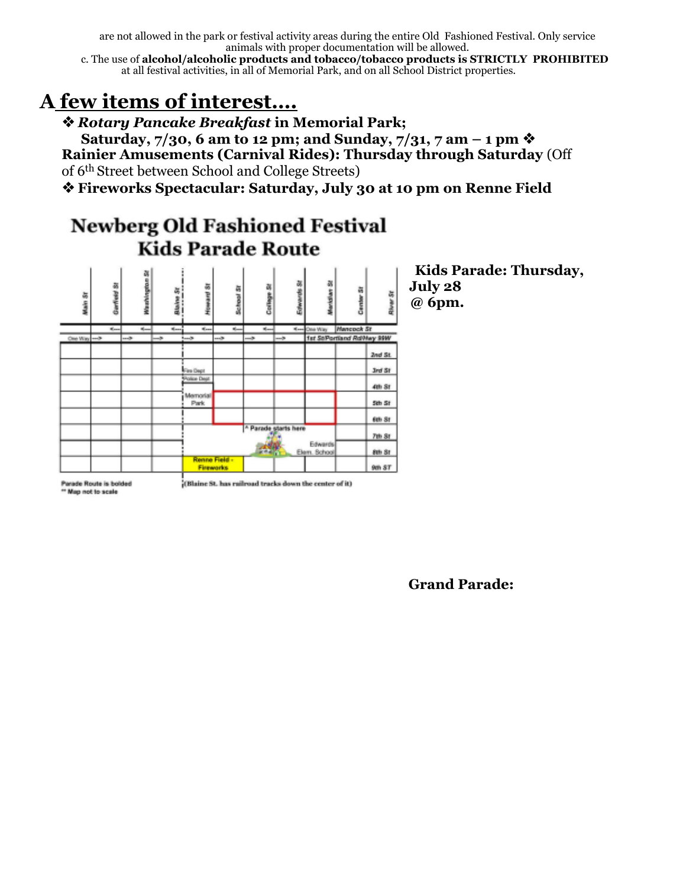are not allowed in the park or festival activity areas during the entire Old Fashioned Festival. Only service animals with proper documentation will be allowed.

c. The use of **alcohol/alcoholic products and tobacco/tobacco products is STRICTLY PROHIBITED**  at all festival activities, in all of Memorial Park, and on all School District properties.

## **A few items of interest….**

❖*Rotary Pancake Breakfast* **in Memorial Park;** 

**Saturday, 7/30, 6 am to 12 pm; and Sunday, 7/31, 7 am – 1 pm** ❖ **Rainier Amusements (Carnival Rides): Thursday through Saturday** (Off of 6th Street between School and College Streets)

❖**Fireworks Spectacular: Saturday, July 30 at 10 pm on Renne Field** 

## **Newberg Old Fashioned Festival Kids Parade Route**



**Kids Parade: Thursday, July 28 @ 6pm.** 

Parade Route is bolded \* Map not to scale

(Blaine St. has railroad tracks down the center of it)

**Grand Parade:**